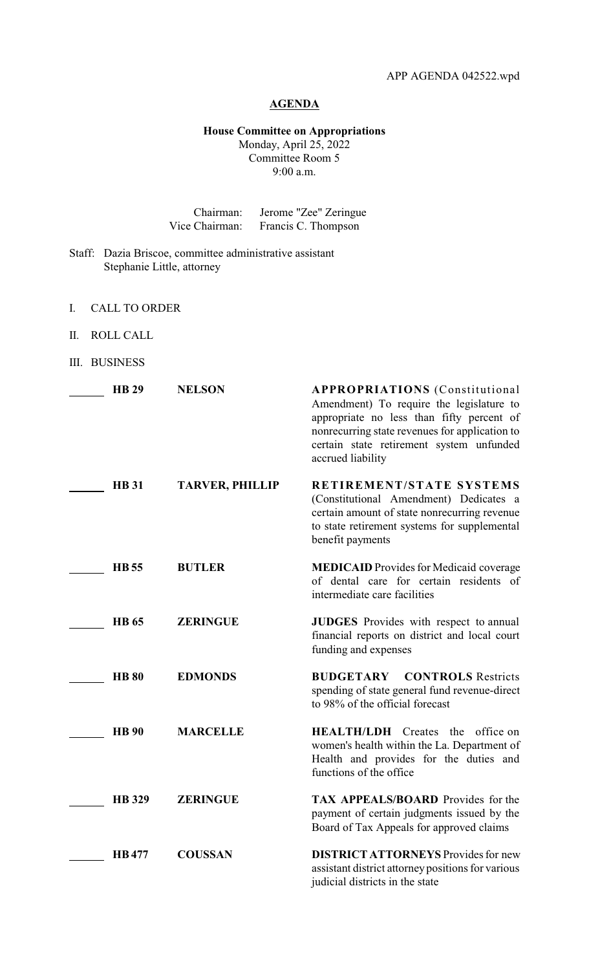## **AGENDA**

## **House Committee on Appropriations** Monday, April 25, 2022 Committee Room 5 9:00 a.m.

| Chairman:      | Jerome "Zee" Zeringue |
|----------------|-----------------------|
| Vice Chairman: | Francis C. Thompson   |

- Staff: Dazia Briscoe, committee administrative assistant Stephanie Little, attorney
- I. CALL TO ORDER
- II. ROLL CALL
- III. BUSINESS

| <b>HB 29</b>  | <b>NELSON</b>          | <b>APPROPRIATIONS</b> (Constitutional<br>Amendment) To require the legislature to<br>appropriate no less than fifty percent of<br>nonrecurring state revenues for application to<br>certain state retirement system unfunded<br>accrued liability |
|---------------|------------------------|---------------------------------------------------------------------------------------------------------------------------------------------------------------------------------------------------------------------------------------------------|
| <b>HB</b> 31  | <b>TARVER, PHILLIP</b> | RETIREMENT/STATE SYSTEMS<br>(Constitutional Amendment) Dedicates a<br>certain amount of state nonrecurring revenue<br>to state retirement systems for supplemental<br>benefit payments                                                            |
| <b>HB</b> 55  | <b>BUTLER</b>          | <b>MEDICAID</b> Provides for Medicaid coverage<br>of dental care for certain residents of<br>intermediate care facilities                                                                                                                         |
| <b>HB</b> 65  | <b>ZERINGUE</b>        | <b>JUDGES</b> Provides with respect to annual<br>financial reports on district and local court<br>funding and expenses                                                                                                                            |
| <b>HB 80</b>  | <b>EDMONDS</b>         | <b>BUDGETARY CONTROLS Restricts</b><br>spending of state general fund revenue-direct<br>to 98% of the official forecast                                                                                                                           |
| <b>HB</b> 90  | <b>MARCELLE</b>        | <b>HEALTH/LDH</b> Creates the office on<br>women's health within the La. Department of<br>Health and provides for the duties and<br>functions of the office                                                                                       |
| <b>HB</b> 329 | <b>ZERINGUE</b>        | TAX APPEALS/BOARD Provides for the<br>payment of certain judgments issued by the<br>Board of Tax Appeals for approved claims                                                                                                                      |
| <b>HB</b> 477 | <b>COUSSAN</b>         | <b>DISTRICT ATTORNEYS</b> Provides for new<br>assistant district attorney positions for various<br>judicial districts in the state                                                                                                                |